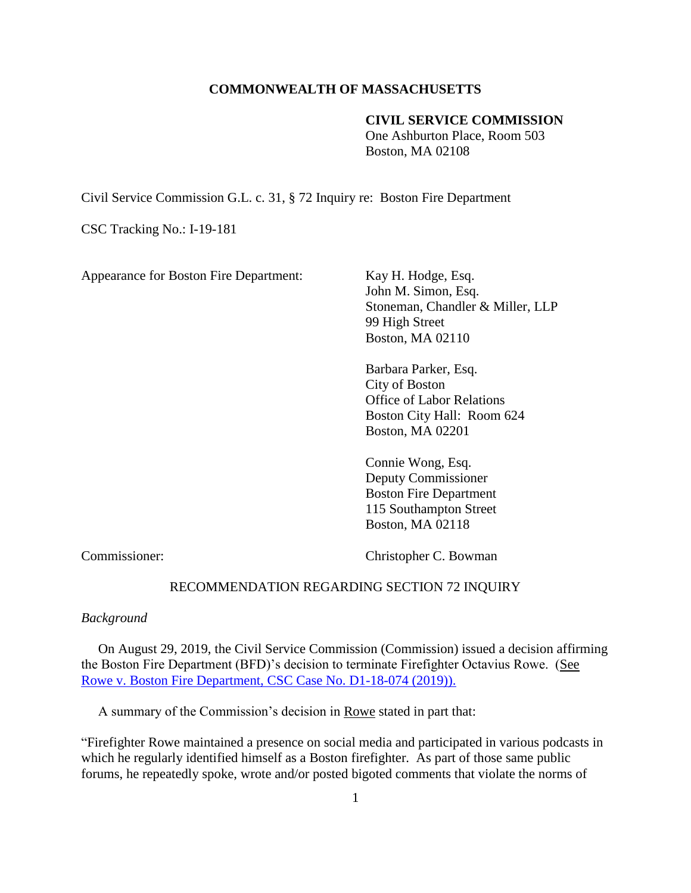# **COMMONWEALTH OF MASSACHUSETTS**

# **CIVIL SERVICE COMMISSION**

One Ashburton Place, Room 503 Boston, MA 02108

Civil Service Commission G.L. c. 31, § 72 Inquiry re: Boston Fire Department

CSC Tracking No.: I-19-181

Appearance for Boston Fire Department: Kay H. Hodge, Esq.

John M. Simon, Esq. Stoneman, Chandler & Miller, LLP 99 High Street Boston, MA 02110

Barbara Parker, Esq. City of Boston Office of Labor Relations Boston City Hall: Room 624 Boston, MA 02201

Connie Wong, Esq. Deputy Commissioner Boston Fire Department 115 Southampton Street Boston, MA 02118

Commissioner: Christopher C. Bowman

#### RECOMMENDATION REGARDING SECTION 72 INQUIRY

### *Background*

 On August 29, 2019, the Civil Service Commission (Commission) issued a decision affirming the Boston Fire Department (BFD)'s decision to terminate Firefighter Octavius Rowe. (See [Rowe v. Boston Fire Department, CSC Case No. D1-18-074 \(2019\)\).](https://www.mass.gov/doc/rowe-octavius-v-boston-fire-department-82919/download)

A summary of the Commission's decision in Rowe stated in part that:

"Firefighter Rowe maintained a presence on social media and participated in various podcasts in which he regularly identified himself as a Boston firefighter. As part of those same public forums, he repeatedly spoke, wrote and/or posted bigoted comments that violate the norms of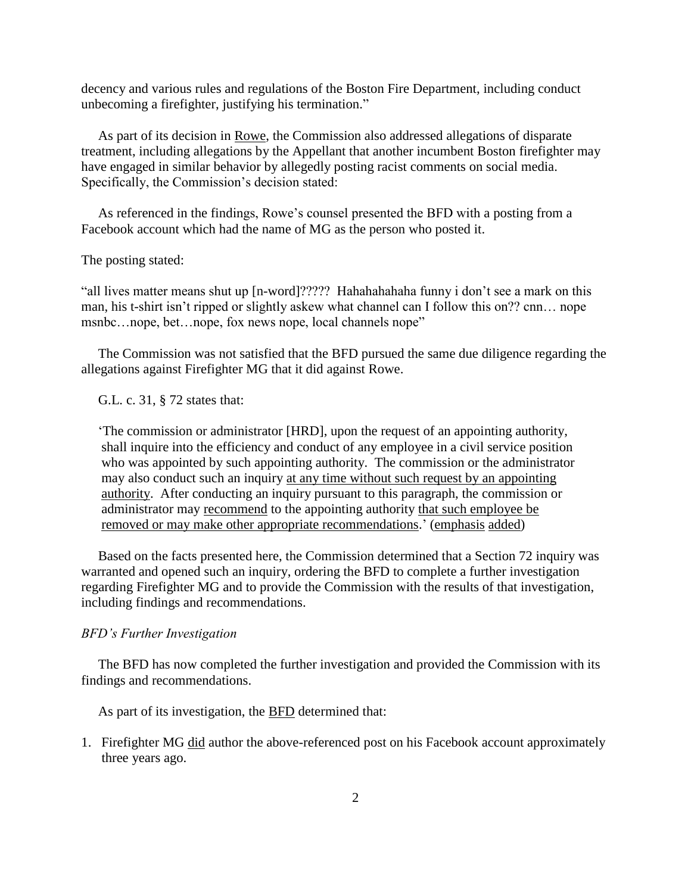decency and various rules and regulations of the Boston Fire Department, including conduct unbecoming a firefighter, justifying his termination."

 As part of its decision in Rowe, the Commission also addressed allegations of disparate treatment, including allegations by the Appellant that another incumbent Boston firefighter may have engaged in similar behavior by allegedly posting racist comments on social media. Specifically, the Commission's decision stated:

 As referenced in the findings, Rowe's counsel presented the BFD with a posting from a Facebook account which had the name of MG as the person who posted it.

The posting stated:

"all lives matter means shut up [n-word]????? Hahahahahaha funny i don't see a mark on this man, his t-shirt isn't ripped or slightly askew what channel can I follow this on?? cnn… nope msnbc…nope, bet…nope, fox news nope, local channels nope"

 The Commission was not satisfied that the BFD pursued the same due diligence regarding the allegations against Firefighter MG that it did against Rowe.

G.L. c. 31, § 72 states that:

 'The commission or administrator [HRD], upon the request of an appointing authority, shall inquire into the efficiency and conduct of any employee in a civil service position who was appointed by such appointing authority. The commission or the administrator may also conduct such an inquiry at any time without such request by an appointing authority. After conducting an inquiry pursuant to this paragraph, the commission or administrator may recommend to the appointing authority that such employee be removed or may make other appropriate recommendations.' (emphasis added)

 Based on the facts presented here, the Commission determined that a Section 72 inquiry was warranted and opened such an inquiry, ordering the BFD to complete a further investigation regarding Firefighter MG and to provide the Commission with the results of that investigation, including findings and recommendations.

# *BFD's Further Investigation*

 The BFD has now completed the further investigation and provided the Commission with its findings and recommendations.

As part of its investigation, the **BFD** determined that:

1. Firefighter MG did author the above-referenced post on his Facebook account approximately three years ago.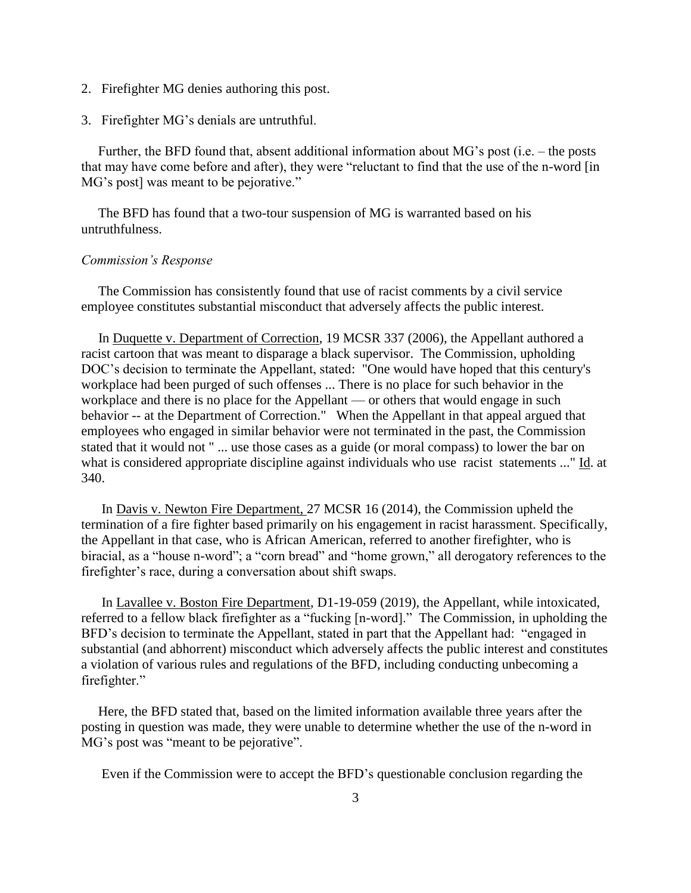- 2. Firefighter MG denies authoring this post.
- 3. Firefighter MG's denials are untruthful.

 Further, the BFD found that, absent additional information about MG's post (i.e. – the posts that may have come before and after), they were "reluctant to find that the use of the n-word [in MG's post] was meant to be pejorative."

 The BFD has found that a two-tour suspension of MG is warranted based on his untruthfulness.

#### *Commission's Response*

 The Commission has consistently found that use of racist comments by a civil service employee constitutes substantial misconduct that adversely affects the public interest.

 In Duquette v. Department of Correction, 19 MCSR 337 (2006), the Appellant authored a racist cartoon that was meant to disparage a black supervisor. The Commission, upholding DOC's decision to terminate the Appellant, stated: "One would have hoped that this century's workplace had been purged of such offenses ... There is no place for such behavior in the workplace and there is no place for the Appellant — or others that would engage in such behavior -- at the Department of Correction." When the Appellant in that appeal argued that employees who engaged in similar behavior were not terminated in the past, the Commission stated that it would not " ... use those cases as a guide (or moral compass) to lower the bar on what is considered appropriate discipline against individuals who use racist statements ..." Id. at 340.

 In Davis v. Newton Fire Department, 27 MCSR 16 (2014), the Commission upheld the termination of a fire fighter based primarily on his engagement in racist harassment. Specifically, the Appellant in that case, who is African American, referred to another firefighter, who is biracial, as a "house n-word"; a "corn bread" and "home grown," all derogatory references to the firefighter's race, during a conversation about shift swaps.

 In Lavallee v. Boston Fire Department, D1-19-059 (2019), the Appellant, while intoxicated, referred to a fellow black firefighter as a "fucking [n-word]." The Commission, in upholding the BFD's decision to terminate the Appellant, stated in part that the Appellant had: "engaged in substantial (and abhorrent) misconduct which adversely affects the public interest and constitutes a violation of various rules and regulations of the BFD, including conducting unbecoming a firefighter."

 Here, the BFD stated that, based on the limited information available three years after the posting in question was made, they were unable to determine whether the use of the n-word in MG's post was "meant to be pejorative".

Even if the Commission were to accept the BFD's questionable conclusion regarding the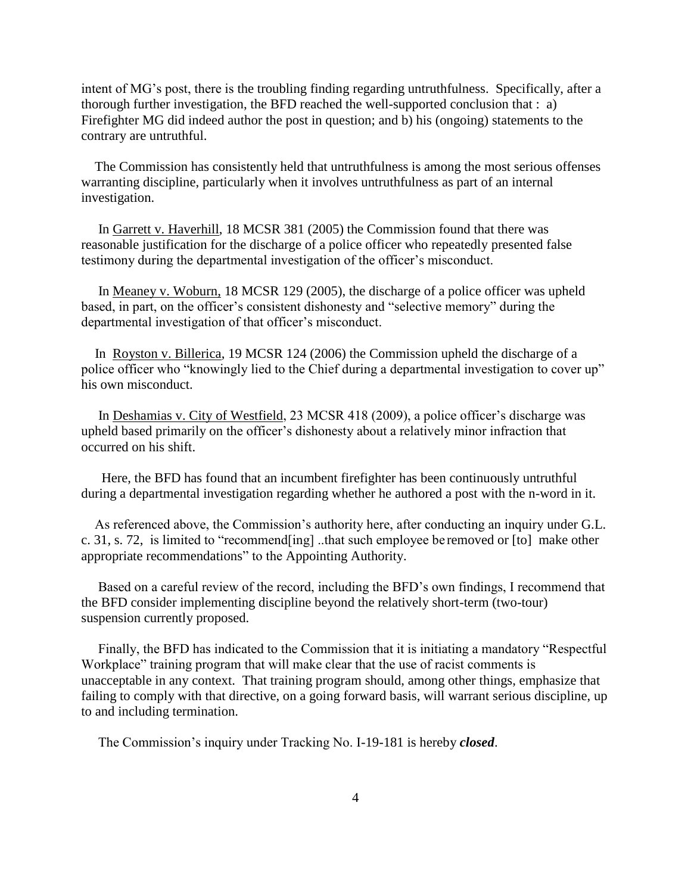intent of MG's post, there is the troubling finding regarding untruthfulness. Specifically, after a thorough further investigation, the BFD reached the well-supported conclusion that : a) Firefighter MG did indeed author the post in question; and b) his (ongoing) statements to the contrary are untruthful.

 The Commission has consistently held that untruthfulness is among the most serious offenses warranting discipline, particularly when it involves untruthfulness as part of an internal investigation.

 In Garrett v. Haverhill, 18 MCSR 381 (2005) the Commission found that there was reasonable justification for the discharge of a police officer who repeatedly presented false testimony during the departmental investigation of the officer's misconduct.

 In Meaney v. Woburn, 18 MCSR 129 (2005), the discharge of a police officer was upheld based, in part, on the officer's consistent dishonesty and "selective memory" during the departmental investigation of that officer's misconduct.

 In Royston v. Billerica, 19 MCSR 124 (2006) the Commission upheld the discharge of a police officer who "knowingly lied to the Chief during a departmental investigation to cover up" his own misconduct.

 In Deshamias v. City of Westfield, 23 MCSR 418 (2009), a police officer's discharge was upheld based primarily on the officer's dishonesty about a relatively minor infraction that occurred on his shift.

 Here, the BFD has found that an incumbent firefighter has been continuously untruthful during a departmental investigation regarding whether he authored a post with the n-word in it.

 As referenced above, the Commission's authority here, after conducting an inquiry under G.L. c. 31, s. 72, is limited to "recommend[ing] ..that such employee be removed or [to] make other appropriate recommendations" to the Appointing Authority.

 Based on a careful review of the record, including the BFD's own findings, I recommend that the BFD consider implementing discipline beyond the relatively short-term (two-tour) suspension currently proposed.

 Finally, the BFD has indicated to the Commission that it is initiating a mandatory "Respectful Workplace" training program that will make clear that the use of racist comments is unacceptable in any context. That training program should, among other things, emphasize that failing to comply with that directive, on a going forward basis, will warrant serious discipline, up to and including termination.

The Commission's inquiry under Tracking No. I-19-181 is hereby *closed*.